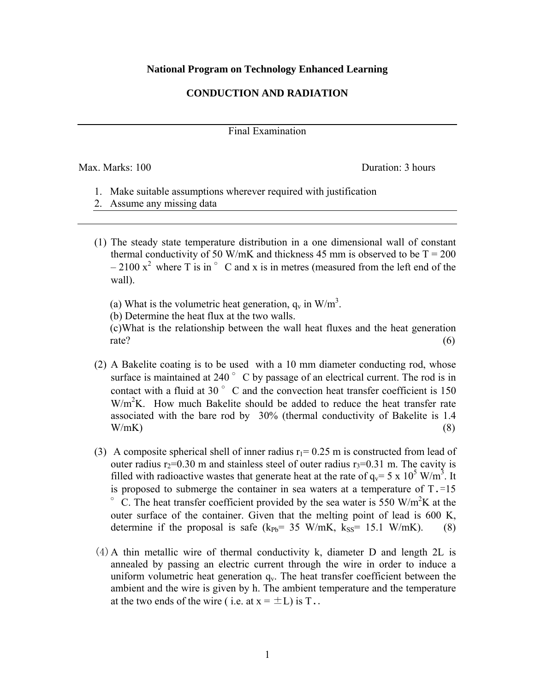## **National Program on Technology Enhanced Learning**

## **CONDUCTION AND RADIATION**

Final Examination

Max. Marks: 100 **Duration: 3 hours** Duration: 3 hours

- 1. Make suitable assumptions wherever required with justification
- 2. Assume any missing data
- (1) The steady state temperature distribution in a one dimensional wall of constant thermal conductivity of 50 W/mK and thickness 45 mm is observed to be  $T = 200$  $-2100 \text{ x}^2$  where T is in  $\degree$  C and x is in metres (measured from the left end of the wall).
- (a) What is the volumetric heat generation,  $q_v$  in W/m<sup>3</sup>.
	- (b) Determine the heat flux at the two walls.

 (c)What is the relationship between the wall heat fluxes and the heat generation rate? (6)

- (2) A Bakelite coating is to be used with a 10 mm diameter conducting rod, whose surface is maintained at 240 $\degree$  C by passage of an electrical current. The rod is in contact with a fluid at 30 $\degree$  C and the convection heat transfer coefficient is 150  $W/m<sup>2</sup>K$ . How much Bakelite should be added to reduce the heat transfer rate associated with the bare rod by 30% (thermal conductivity of Bakelite is 1.4  $W/mK$ ) (8)
- (3) A composite spherical shell of inner radius  $r_1 = 0.25$  m is constructed from lead of outer radius  $r_2=0.30$  m and stainless steel of outer radius  $r_3=0.31$  m. The cavity is filled with radioactive wastes that generate heat at the rate of  $q_v = 5 \times 10^5$  W/m<sup>3</sup>. It is proposed to submerge the container in sea waters at a temperature of  $T = 15$  $\degree$  C. The heat transfer coefficient provided by the sea water is 550 W/m<sup>2</sup>K at the outer surface of the container. Given that the melting point of lead is 600 K, determine if the proposal is safe  $(k_{Pb}= 35 \text{ W/mK}, k_{SS}= 15.1 \text{ W/mK})$ . (8)
- (4)A thin metallic wire of thermal conductivity k, diameter D and length 2L is annealed by passing an electric current through the wire in order to induce a uniform volumetric heat generation  $q_v$ . The heat transfer coefficient between the ambient and the wire is given by h. The ambient temperature and the temperature at the two ends of the wire (i.e. at  $x = \pm L$ ) is T..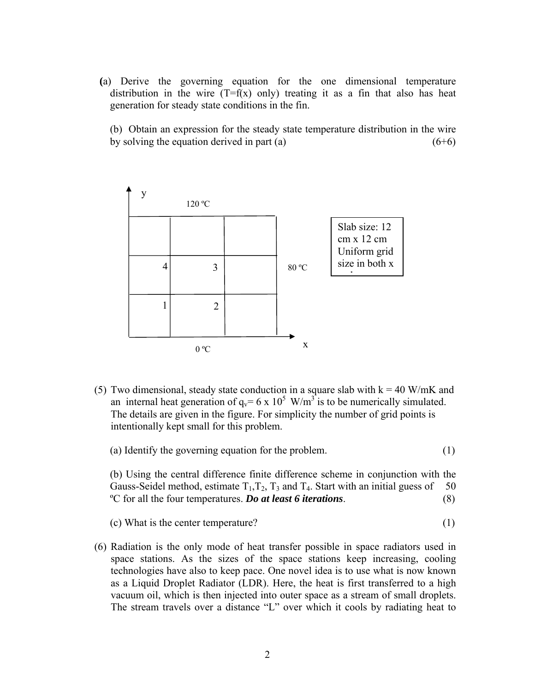**(**a) Derive the governing equation for the one dimensional temperature distribution in the wire  $(T=f(x)$  only) treating it as a fin that also has heat generation for steady state conditions in the fin.

 (b) Obtain an expression for the steady state temperature distribution in the wire by solving the equation derived in part (a)  $(6+6)$ 



(5) Two dimensional, steady state conduction in a square slab with  $k = 40$  W/mK and an internal heat generation of  $q_v = 6 \times 10^5$  W/m<sup>3</sup> is to be numerically simulated. The details are given in the figure. For simplicity the number of grid points is intentionally kept small for this problem.

| (a) Identify the governing equation for the problem. |  |  |  |
|------------------------------------------------------|--|--|--|
|                                                      |  |  |  |

 (b) Using the central difference finite difference scheme in conjunction with the Gauss-Seidel method, estimate  $T_1, T_2, T_3$  and  $T_4$ . Start with an initial guess of 50 ºC for all the four temperatures. *Do at least 6 iterations*. (8)

(c) What is the center temperature? (1)

(6) Radiation is the only mode of heat transfer possible in space radiators used in space stations. As the sizes of the space stations keep increasing, cooling technologies have also to keep pace. One novel idea is to use what is now known as a Liquid Droplet Radiator (LDR). Here, the heat is first transferred to a high vacuum oil, which is then injected into outer space as a stream of small droplets. The stream travels over a distance "L" over which it cools by radiating heat to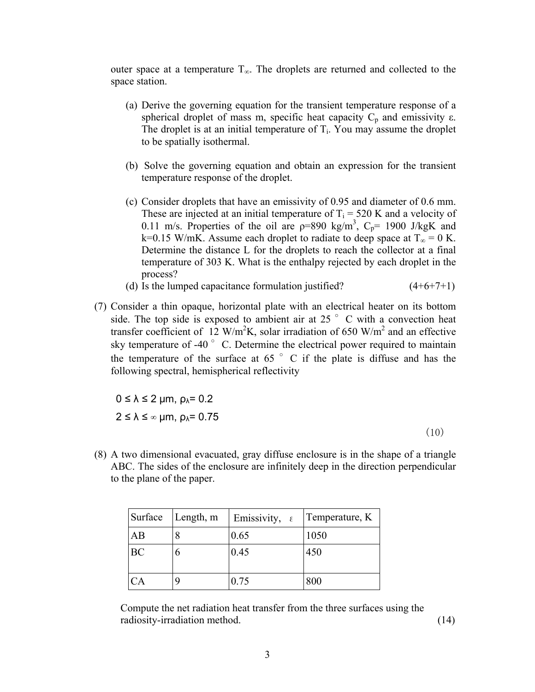outer space at a temperature  $T_{\infty}$ . The droplets are returned and collected to the space station.

- (a) Derive the governing equation for the transient temperature response of a spherical droplet of mass m, specific heat capacity  $C_p$  and emissivity  $\varepsilon$ . The droplet is at an initial temperature of  $T_i$ . You may assume the droplet to be spatially isothermal.
- (b) Solve the governing equation and obtain an expression for the transient temperature response of the droplet.
- (c) Consider droplets that have an emissivity of 0.95 and diameter of 0.6 mm. These are injected at an initial temperature of  $T_i = 520$  K and a velocity of 0.11 m/s. Properties of the oil are  $p=890 \text{ kg/m}^3$ ,  $C_p= 1900 \text{ J/kgK}$  and k=0.15 W/mK. Assume each droplet to radiate to deep space at  $T_{\infty} = 0$  K. Determine the distance L for the droplets to reach the collector at a final temperature of 303 K. What is the enthalpy rejected by each droplet in the process?
- (d) Is the lumped capacitance formulation justified?  $(4+6+7+1)$
- (7) Consider a thin opaque, horizontal plate with an electrical heater on its bottom side. The top side is exposed to ambient air at 25  $\degree$  C with a convection heat transfer coefficient of 12 W/m<sup>2</sup>K, solar irradiation of 650 W/m<sup>2</sup> and an effective sky temperature of -40 $\degree$  C. Determine the electrical power required to maintain the temperature of the surface at  $65\degree$  C if the plate is diffuse and has the following spectral, hemispherical reflectivity

 $0 \le \lambda \le 2$  μm,  $\rho_{\lambda} = 0.2$  $2 \le \lambda \le \infty$  μm,  $\rho_{\lambda} = 0.75$ 

(10)

(8) A two dimensional evacuated, gray diffuse enclosure is in the shape of a triangle ABC. The sides of the enclosure are infinitely deep in the direction perpendicular to the plane of the paper.

| Surface   | Length, m | Emissivity, $\epsilon$ | Temperature, K |
|-----------|-----------|------------------------|----------------|
| AB        |           | 0.65                   | 1050           |
| <b>BC</b> |           | 0.45                   | 450            |
| <b>CA</b> |           | 0.75                   | 800            |

Compute the net radiation heat transfer from the three surfaces using the radiosity-irradiation method. (14)